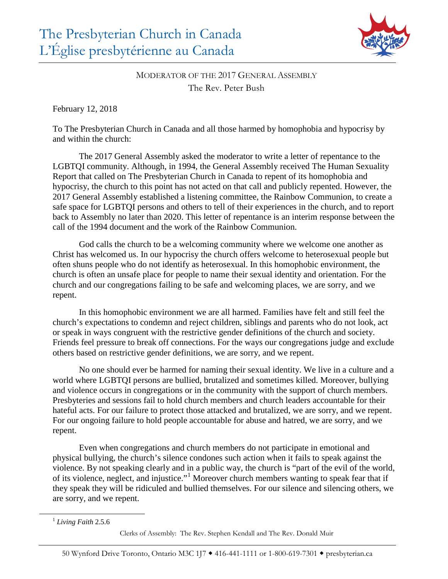

## MODERATOR OF THE 2017 GENERAL ASSEMBLY The Rev. Peter Bush

February 12, 2018

To The Presbyterian Church in Canada and all those harmed by homophobia and hypocrisy by and within the church:

The 2017 General Assembly asked the moderator to write a letter of repentance to the LGBTQI community. Although, in 1994, the General Assembly received The Human Sexuality Report that called on The Presbyterian Church in Canada to repent of its homophobia and hypocrisy, the church to this point has not acted on that call and publicly repented. However, the 2017 General Assembly established a listening committee, the Rainbow Communion, to create a safe space for LGBTQI persons and others to tell of their experiences in the church, and to report back to Assembly no later than 2020. This letter of repentance is an interim response between the call of the 1994 document and the work of the Rainbow Communion.

God calls the church to be a welcoming community where we welcome one another as Christ has welcomed us. In our hypocrisy the church offers welcome to heterosexual people but often shuns people who do not identify as heterosexual. In this homophobic environment, the church is often an unsafe place for people to name their sexual identity and orientation. For the church and our congregations failing to be safe and welcoming places, we are sorry, and we repent.

In this homophobic environment we are all harmed. Families have felt and still feel the church's expectations to condemn and reject children, siblings and parents who do not look, act or speak in ways congruent with the restrictive gender definitions of the church and society. Friends feel pressure to break off connections. For the ways our congregations judge and exclude others based on restrictive gender definitions, we are sorry, and we repent.

No one should ever be harmed for naming their sexual identity. We live in a culture and a world where LGBTQI persons are bullied, brutalized and sometimes killed. Moreover, bullying and violence occurs in congregations or in the community with the support of church members. Presbyteries and sessions fail to hold church members and church leaders accountable for their hateful acts. For our failure to protect those attacked and brutalized, we are sorry, and we repent. For our ongoing failure to hold people accountable for abuse and hatred, we are sorry, and we repent.

Even when congregations and church members do not participate in emotional and physical bullying, the church's silence condones such action when it fails to speak against the violence. By not speaking clearly and in a public way, the church is "part of the evil of the world, of its violence, neglect, and injustice."<sup>[1](#page-0-0)</sup> Moreover church members wanting to speak fear that if they speak they will be ridiculed and bullied themselves. For our silence and silencing others, we are sorry, and we repent.

<span id="page-0-0"></span><sup>1</sup> *Living Faith* 2.5.6

Clerks of Assembly: The Rev. Stephen Kendall and The Rev. Donald Muir